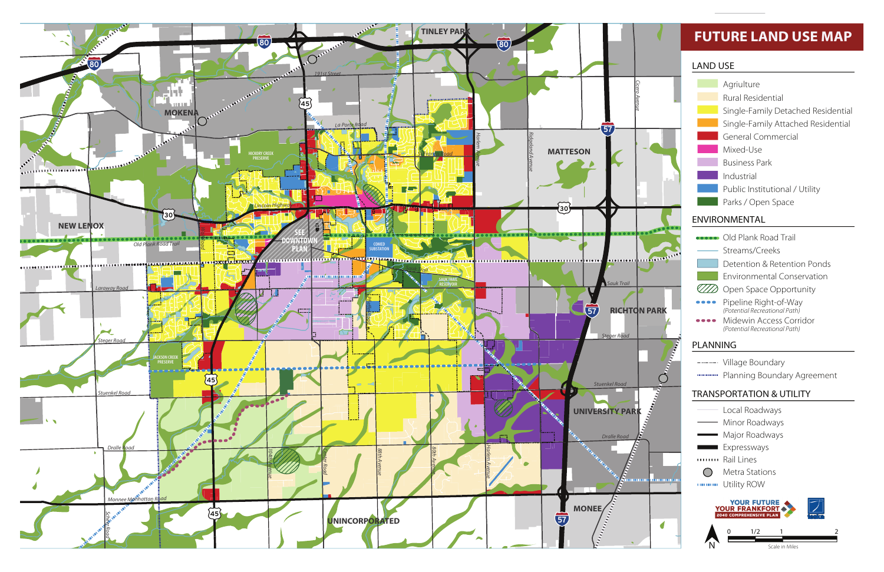# **FUTURE LAND USE MAP**

- Streams/Creeks Old Plank Road Trail
- Detention & Retention Ponds
- Environmental Conservation
- **ZZ** Open Space Opportunity
	- Pipeline Right-of-Way *(Potential Recreational Path)*
	- Midewin Access Corridor *(Potential Recreational Path)*

- Local Roadways
- Minor Roadways
- Major Roadways
- **Expressways**
- Rail Lines
- $\bigcirc$ Metra Stations
- **WARNAH Utility ROW**

### ENVIRONMENTAL

## PLANNING

- ------- Village Boundary
- **WEIGHTHRY Planning Boundary Agreement**

### TRANSPORTATION & UTILITY



- Agriulture
- Rural Residential
- Single-Family Detached Residential
- Single-Family Attached Residential
- General Commercial
- Mixed-Use
- Business Park
- Industrial
- Public Institutional / Utility
- Parks / Open Space

#### LAND USE